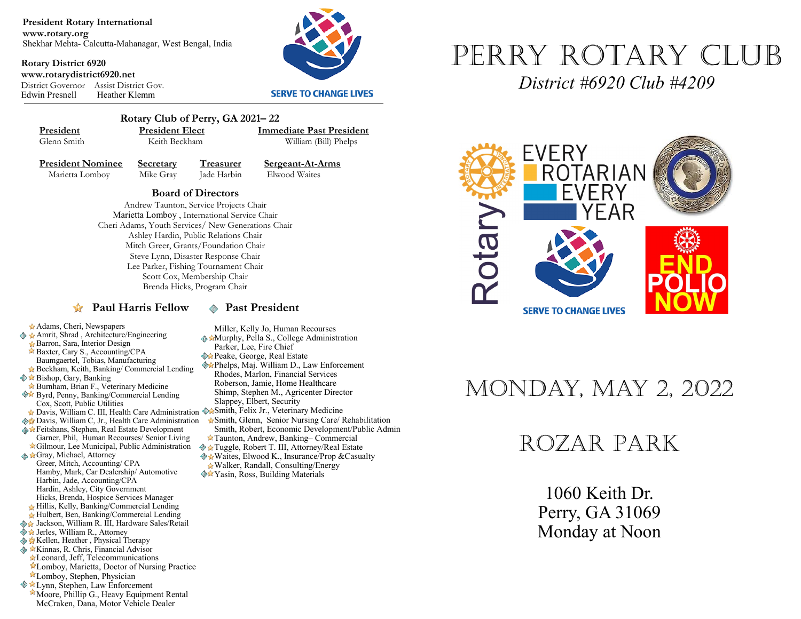**President Rotary International www.rotary.org** Shekhar Mehta- Calcutta-Mahanagar, West Bengal, India

**Rotary District 6920 www.rotarydistrict6920.net** District Governor Assist District Gov. Heather Klemm



#### **SERVE TO CHANGE LIVES**



 **Rotary Club of Perry, GA 2021– 22 President President Elect Immediate Past President**<br> **Glenn Smith Reith Beckham William (Bill) Phelns** 

William (Bill) Phelps

Adams, Cheri, Newspapers ◆ ★ Amrit, Shrad, Architecture/Engineering Barron, Sara, Interior Design Baxter, Cary S., Accounting/CPA Baumgaertel, Tobias, Manufacturing Beckham, Keith, Banking/ Commercial Lending

Cox, Scott, Public Utilities

Burnham, Brian F., Veterinary Medicine  Byrd, Penny, Banking/Commercial Lending

**Davis, William C, Jr., Health Care Administration** Feitshans, Stephen, Real Estate Development Garner, Phil, Human Recourses/ Senior Living Gilmour, Lee Municipal, Public Administration

Hamby, Mark, Car Dealership/ Automotive

Harbin, Jade, Accounting/CPA Hardin, Ashley, City Government Hicks, Brenda, Hospice Services Manager Hillis, Kelly, Banking/Commercial Lending Hulbert, Ben, Banking/Commercial Lending ◆ Jackson, William R. III, Hardware Sales/Retail

 $\diamondsuit$  **★** Bishop, Gary, Banking

Gray, Michael, Attorney Greer, Mitch, Accounting/ CPA

◆ ★ Jerles, William R., Attorney **Kellen, Heather , Physical Therapy External Advisor** & Kinnas, R. Chris, Financial Advisor Leonard, Jeff, Telecommunications

**President Nominee Secretary Treasurer Sergeant-At-Arms**<br>Marietta Lomboy Mike Gray **Lade Harbin** Elwood Waites Marietta Lomboy Mike Gray Jade Harbin

**Board of Directors** 

Andrew Taunton, Service Projects Chair Marietta Lomboy , International Service Chair Cheri Adams, Youth Services/ New Generations Chair Ashley Hardin, Public Relations Chair Mitch Greer, Grants/Foundation Chair Steve Lynn, Disaster Response Chair Lee Parker, Fishing Tournament Chair Scott Cox, Membership Chair Brenda Hicks, Program Chair

### **Paul Harris Fellow**  $\otimes$  **Past President**

Miller, Kelly Jo, Human Recourses

- **Murphy, Pella S., College Administration** Parker, Lee, Fire Chief
- **Peake, George, Real Estate**
- Phelps, Maj. William D., Law Enforcement Rhodes, Marlon, Financial Services Roberson, Jamie, Home Healthcare Shimp, Stephen M., Agricenter Director Slappey, Elbert, Security
- Davis, William C. III, Health Care Administration WaSmith, Felix Jr., Veterinary Medicine
	- Smith, Glenn, Senior Nursing Care/ Rehabilitation Smith, Robert, Economic Development/Public Admin
	- Taunton, Andrew, Banking– Commercial
	- Tuggle, Robert T. III, Attorney/Real Estate   $\triangle$  **\*** Waites, Elwood K., Insurance/Prop & Casualty Walker, Randall, Consulting/Energy
	- **◆★Yasin, Ross, Building Materials**



*District #6920 Club #4209*



# Monday, May 2, 2022

# Rozar Park

1060 Keith Dr. Perry, GA 31069 Monday at Noon

- Lomboy, Stephen, Physician **Ext** Lynn, Stephen, Law Enforcement
- Moore, Phillip G., Heavy Equipment Rental McCraken, Dana, Motor Vehicle Dealer

Lomboy, Marietta, Doctor of Nursing Practice